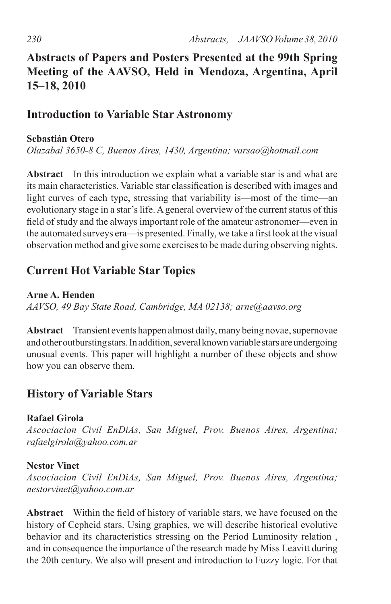# **Abstracts of Papers and Posters Presented at the 99th Spring Meeting of the AAVSO, Held in Mendoza, Argentina, April 15–18, 2010**

### **Introduction to Variable Star Astronomy**

#### **Sebastián Otero**

*Olazabal 3650-8 C, Buenos Aires, 1430, Argentina; varsao@hotmail.com*

**Abstract** In this introduction we explain what a variable star is and what are its main characteristics. Variable star classification is described with images and light curves of each type, stressing that variability is—most of the time—an evolutionary stage in a star's life. A general overview of the current status of this field of study and the always important role of the amateur astronomer—even in the automated surveys era—is presented. Finally, we take a first look at the visual observation method and give some exercises to be made during observing nights.

# **Current Hot Variable Star Topics**

#### **Arne A. Henden**

*AAVSO, 49 Bay State Road, Cambridge, MA 02138; arne@aavso.org*

**Abstract** Transient events happen almost daily, many being novae, supernovae and other outbursting stars. In addition, several known variable stars are undergoing unusual events. This paper will highlight a number of these objects and show how you can observe them.

# **History of Variable Stars**

### **Rafael Girola**

*Ascociacion Civil EnDiAs, San Miguel, Prov. Buenos Aires, Argentina; rafaelgirola@yahoo.com.ar*

### **Nestor Vinet**

*Ascociacion Civil EnDiAs, San Miguel, Prov. Buenos Aires, Argentina; nestorvinet@yahoo.com.ar*

**Abstract** Within the field of history of variable stars, we have focused on the history of Cepheid stars. Using graphics, we will describe historical evolutive behavior and its characteristics stressing on the Period Luminosity relation , and in consequence the importance of the research made by Miss Leavitt during the 20th century. We also will present and introduction to Fuzzy logic. For that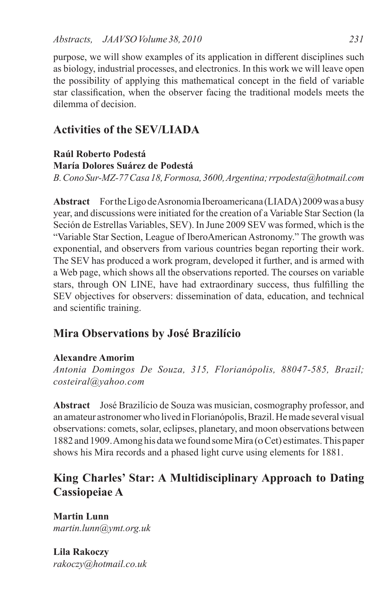purpose, we will show examples of its application in different disciplines such as biology, industrial processes, and electronics. In this work we will leave open the possibility of applying this mathematical concept in the field of variable star classification, when the observer facing the traditional models meets the dilemma of decision.

## **Activities of the SEV/LIADA**

#### **Raúl Roberto Podestá María Dolores Suárez de Podestá**

*B.ConoSur-MZ-77Casa18,Formosa,3600,Argentina;rrpodesta@hotmail.com*

**Abstract** For the Ligo de Asronomia Iberoamericana (LIADA) 2009 was a busy year, and discussions were initiated for the creation of a Variable Star Section (la Seción de Estrellas Variables, SEV). In June 2009 SEV was formed, which is the "Variable Star Section, League of IberoAmerican Astronomy." The growth was exponential, and observers from various countries began reporting their work. The SEV has produced a work program, developed it further, and is armed with a Web page, which shows all the observations reported. The courses on variable stars, through ON LINE, have had extraordinary success, thus fulfilling the SEV objectives for observers: dissemination of data, education, and technical and scientific training.

# **Mira Observations by José Brazilício**

### **Alexandre Amorim**

*Antonia Domingos De Souza, 315, Florianópolis, 88047-585, Brazil; costeiral@yahoo.com*

**Abstract** José Brazilício de Souza was musician, cosmography professor, and an amateur astronomer who lived in Florianópolis, Brazil. He made several visual observations: comets, solar, eclipses, planetary, and moon observations between 1882 and 1909. Among his data we found some Mira (ο Cet) estimates. This paper shows his Mira records and a phased light curve using elements for 1881.

# **King Charles' Star: A Multidisciplinary Approach to Dating Cassiopeiae A**

**Martin Lunn** *martin.lunn@ymt.org.uk*

**Lila Rakoczy** *rakoczy@hotmail.co.uk*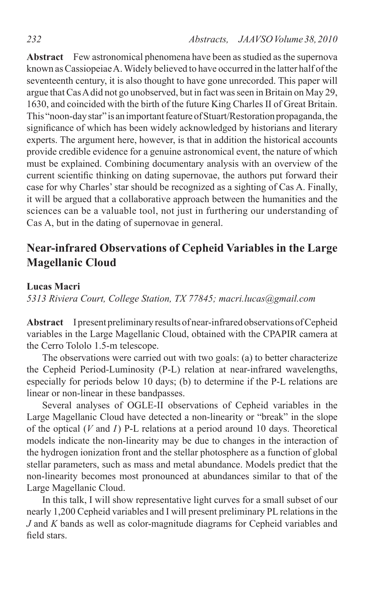**Abstract** Few astronomical phenomena have been as studied as the supernova known as Cassiopeiae A. Widely believed to have occurred in the latter half of the seventeenth century, it is also thought to have gone unrecorded. This paper will argue that Cas A did not go unobserved, but in fact was seen in Britain on May 29, 1630, and coincided with the birth of the future King Charles II of Great Britain. This "noon-day star" is an important feature of Stuart/Restoration propaganda, the significance of which has been widely acknowledged by historians and literary experts. The argument here, however, is that in addition the historical accounts provide credible evidence for a genuine astronomical event, the nature of which must be explained. Combining documentary analysis with an overview of the current scientific thinking on dating supernovae, the authors put forward their case for why Charles' star should be recognized as a sighting of Cas A. Finally, it will be argued that a collaborative approach between the humanities and the sciences can be a valuable tool, not just in furthering our understanding of Cas A, but in the dating of supernovae in general.

# **Near-infrared Observations of Cepheid Variables in the Large Magellanic Cloud**

#### **Lucas Macri**

*5313 Riviera Court, College Station, TX 77845; macri.lucas@gmail.com*

**Abstract** I present preliminary results of near-infrared observations of Cepheid variables in the Large Magellanic Cloud, obtained with the CPAPIR camera at the Cerro Tololo 1.5-m telescope.

The observations were carried out with two goals: (a) to better characterize the Cepheid Period-Luminosity (P-L) relation at near-infrared wavelengths, especially for periods below 10 days; (b) to determine if the P-L relations are linear or non-linear in these bandpasses.

Several analyses of OGLE-II observations of Cepheid variables in the Large Magellanic Cloud have detected a non-linearity or "break" in the slope of the optical (*V* and *I*) P-L relations at a period around 10 days. Theoretical models indicate the non-linearity may be due to changes in the interaction of the hydrogen ionization front and the stellar photosphere as a function of global stellar parameters, such as mass and metal abundance. Models predict that the non-linearity becomes most pronounced at abundances similar to that of the Large Magellanic Cloud.

In this talk, I will show representative light curves for a small subset of our nearly 1,200 Cepheid variables and I will present preliminary PL relations in the *J* and *K* bands as well as color-magnitude diagrams for Cepheid variables and field stars.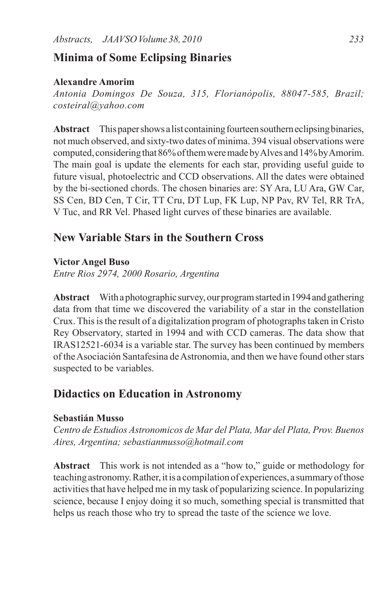### **Minima of Some Eclipsing Binaries**

#### **Alexandre Amorim**

*Antonia Domingos De Souza, 315, Florianópolis, 88047-585, Brazil; costeiral@yahoo.com*

**Abstract** This paper shows a list containing fourteen southern eclipsing binaries, not much observed, and sixty-two dates of minima. 394 visual observations were computed, considering that 86% of them were made by Alves and 14% by Amorim. The main goal is update the elements for each star, providing useful guide to future visual, photoelectric and CCD observations. All the dates were obtained by the bi-sectioned chords. The chosen binaries are: SY Ara, LU Ara, GW Car, SS Cen, BD Cen, T Cir, TT Cru, DT Lup, FK Lup, NP Pav, RV Tel, RR TrA, V Tuc, and RR Vel. Phased light curves of these binaries are available.

### **New Variable Stars in the Southern Cross**

**Victor Angel Buso**

*Entre Rios 2974, 2000 Rosario, Argentina*

**Abstract** With a photographic survey, our program started in 1994 and gathering data from that time we discovered the variability of a star in the constellation Crux. This is the result of a digitalization program of photographs taken in Cristo Rey Observatory, started in 1994 and with CCD cameras. The data show that IRAS12521-6034 is a variable star. The survey has been continued by members of the Asociación Santafesina de Astronomia, and then we have found other stars suspected to be variables.

### **Didactics on Education in Astronomy**

#### **Sebastián Musso**

*Centro de Estudios Astronomicos de Mar del Plata, Mar del Plata, Prov. Buenos Aires, Argentina; sebastianmusso@hotmail.com*

**Abstract** This work is not intended as a "how to," guide or methodology for teaching astronomy. Rather, it is a compilation of experiences, a summary of those activities that have helped me in my task of popularizing science. In popularizing science, because I enjoy doing it so much, something special is transmitted that helps us reach those who try to spread the taste of the science we love.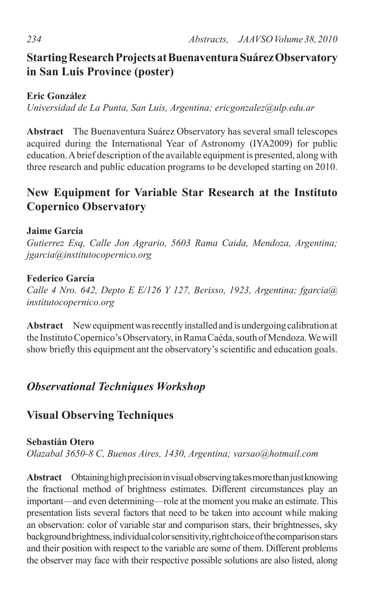# **Starting Research Projects at Buenaventura Suárez Observatory in San Luis Province (poster)**

### **Eric González**

*Universidad de La Punta, San Luis, Argentina; ericgonzalez@ulp.edu.ar*

**Abstract** The Buenaventura Suárez Observatory has several small telescopes acquired during the International Year of Astronomy (IYA2009) for public education. A brief description of the available equipment is presented, along with three research and public education programs to be developed starting on 2010.

# **New Equipment for Variable Star Research at the Instituto Copernico Observatory**

### **Jaime García**

*Gutierrez Esq, Calle Jon Agrario, 5603 Rama Caida, Mendoza, Argentina; jgarcia@institutocopernico.org*

### **Federico García**

*Calle 4 Nro. 642, Depto E E/126 Y 127, Berisso, 1923, Argentina; fgarcia@ institutocopernico.org*

**Abstract** New equipment was recently installed and is undergoing calibration at the Instituto Copernico's Observatory, in Rama Caéda, south of Mendoza. We will show briefly this equipment ant the observatory's scientific and education goals.

# *Observational Techniques Workshop*

# **Visual Observing Techniques**

### **Sebastián Otero**

*Olazabal 3650-8 C, Buenos Aires, 1430, Argentina; varsao@hotmail.com*

**Abstract** Obtaining high precision in visual observing takes more than just knowing the fractional method of brightness estimates. Different circumstances play an important—and even determining—role at the moment you make an estimate. This presentation lists several factors that need to be taken into account while making an observation: color of variable star and comparison stars, their brightnesses, sky background brightness, individual color sensitivity, right choice of the comparison stars and their position with respect to the variable are some of them. Different problems the observer may face with their respective possible solutions are also listed, along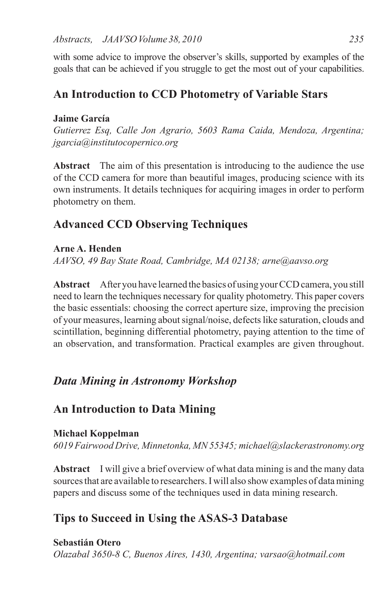with some advice to improve the observer's skills, supported by examples of the goals that can be achieved if you struggle to get the most out of your capabilities.

## **An Introduction to CCD Photometry of Variable Stars**

### **Jaime García**

*Gutierrez Esq, Calle Jon Agrario, 5603 Rama Caida, Mendoza, Argentina; jgarcia@institutocopernico.org*

**Abstract** The aim of this presentation is introducing to the audience the use of the CCD camera for more than beautiful images, producing science with its own instruments. It details techniques for acquiring images in order to perform photometry on them.

# **Advanced CCD Observing Techniques**

### **Arne A. Henden**

*AAVSO, 49 Bay State Road, Cambridge, MA 02138; arne@aavso.org*

**Abstract** After you have learned the basics of using your CCD camera, you still need to learn the techniques necessary for quality photometry. This paper covers the basic essentials: choosing the correct aperture size, improving the precision of your measures, learning about signal/noise, defects like saturation, clouds and scintillation, beginning differential photometry, paying attention to the time of an observation, and transformation. Practical examples are given throughout.

# *Data Mining in Astronomy Workshop*

## **An Introduction to Data Mining**

#### **Michael Koppelman** *6019 Fairwood Drive, Minnetonka, MN55345; michael@slackerastronomy.org*

**Abstract** I will give a brief overview of what data mining is and the many data sources that are available to researchers. I will also show examples of data mining papers and discuss some of the techniques used in data mining research.

# **Tips to Succeed in Using the ASAS-3 Database**

**Sebastián Otero** *Olazabal 3650-8 C, Buenos Aires, 1430, Argentina; varsao@hotmail.com*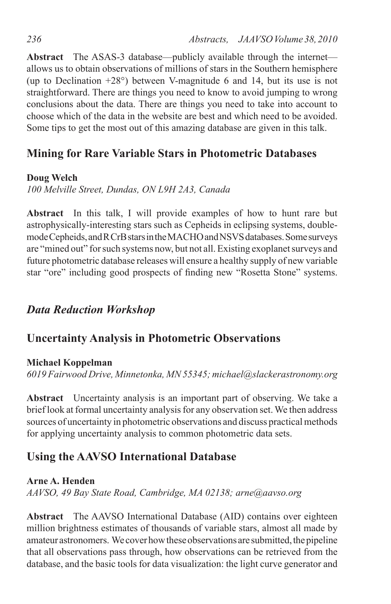**Abstract** The ASAS-3 database—publicly available through the internet allows us to obtain observations of millions of stars in the Southern hemisphere (up to Declination +28°) between V-magnitude 6 and 14, but its use is not straightforward. There are things you need to know to avoid jumping to wrong conclusions about the data. There are things you need to take into account to choose which of the data in the website are best and which need to be avoided. Some tips to get the most out of this amazing database are given in this talk.

# **Mining for Rare Variable Stars in Photometric Databases**

### **Doug Welch**

*100 Melville Street, Dundas, ON L9H 2A3, Canada*

**Abstract** In this talk, I will provide examples of how to hunt rare but astrophysically-interesting stars such as Cepheids in eclipsing systems, doublemode Cepheids, and R CrB stars in the MACHO and NSVS databases. Some surveys are "mined out" for such systems now, but not all. Existing exoplanet surveys and future photometric database releases will ensure a healthy supply of new variable star "ore" including good prospects of finding new "Rosetta Stone" systems.

# *Data Reduction Workshop*

## **Uncertainty Analysis in Photometric Observations**

### **Michael Koppelman**

*6019 Fairwood Drive, Minnetonka, MN55345; michael@slackerastronomy.org*

**Abstract** Uncertainty analysis is an important part of observing. We take a brief look at formal uncertainty analysis for any observation set. We then address sources of uncertainty in photometric observations and discuss practical methods for applying uncertainty analysis to common photometric data sets.

# **Using the AAVSO International Database**

### **Arne A. Henden**

*AAVSO, 49 Bay State Road, Cambridge, MA 02138; arne@aavso.org*

**Abstract** The AAVSO International Database (AID) contains over eighteen million brightness estimates of thousands of variable stars, almost all made by amateur astronomers. We cover how these observations are submitted, the pipeline that all observations pass through, how observations can be retrieved from the database, and the basic tools for data visualization: the light curve generator and